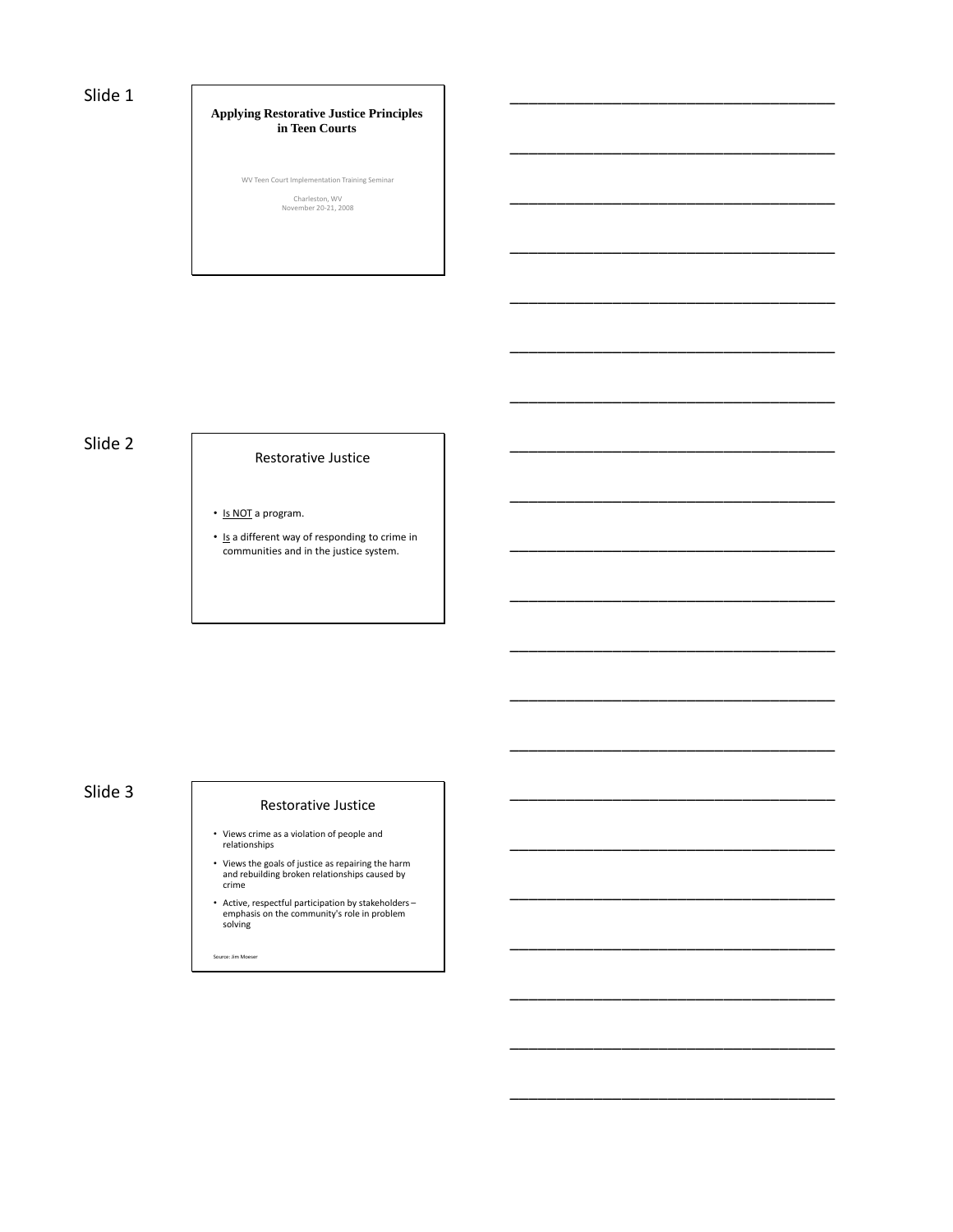## Slide 1

### **Applying Restorative Justice Principles in Teen Courts**

\_\_\_\_\_\_\_\_\_\_\_\_\_\_\_\_\_\_\_\_\_\_\_\_\_\_\_\_\_\_\_\_\_\_\_

\_\_\_\_\_\_\_\_\_\_\_\_\_\_\_\_\_\_\_\_\_\_\_\_\_\_\_\_\_\_\_\_\_\_\_

\_\_\_\_\_\_\_\_\_\_\_\_\_\_\_\_\_\_\_\_\_\_\_\_\_\_\_\_\_\_\_\_\_\_\_

\_\_\_\_\_\_\_\_\_\_\_\_\_\_\_\_\_\_\_\_\_\_\_\_\_\_\_\_\_\_\_\_\_\_\_

\_\_\_\_\_\_\_\_\_\_\_\_\_\_\_\_\_\_\_\_\_\_\_\_\_\_\_\_\_\_\_\_\_\_\_

\_\_\_\_\_\_\_\_\_\_\_\_\_\_\_\_\_\_\_\_\_\_\_\_\_\_\_\_\_\_\_\_\_\_\_

\_\_\_\_\_\_\_\_\_\_\_\_\_\_\_\_\_\_\_\_\_\_\_\_\_\_\_\_\_\_\_\_\_\_\_

\_\_\_\_\_\_\_\_\_\_\_\_\_\_\_\_\_\_\_\_\_\_\_\_\_\_\_\_\_\_\_\_\_\_\_

\_\_\_\_\_\_\_\_\_\_\_\_\_\_\_\_\_\_\_\_\_\_\_\_\_\_\_\_\_\_\_\_\_\_\_

\_\_\_\_\_\_\_\_\_\_\_\_\_\_\_\_\_\_\_\_\_\_\_\_\_\_\_\_\_\_\_\_\_\_\_

\_\_\_\_\_\_\_\_\_\_\_\_\_\_\_\_\_\_\_\_\_\_\_\_\_\_\_\_\_\_\_\_\_\_\_

\_\_\_\_\_\_\_\_\_\_\_\_\_\_\_\_\_\_\_\_\_\_\_\_\_\_\_\_\_\_\_\_\_\_\_

\_\_\_\_\_\_\_\_\_\_\_\_\_\_\_\_\_\_\_\_\_\_\_\_\_\_\_\_\_\_\_\_\_\_\_

\_\_\_\_\_\_\_\_\_\_\_\_\_\_\_\_\_\_\_\_\_\_\_\_\_\_\_\_\_\_\_\_\_\_\_

\_\_\_\_\_\_\_\_\_\_\_\_\_\_\_\_\_\_\_\_\_\_\_\_\_\_\_\_\_\_\_\_\_\_\_

\_\_\_\_\_\_\_\_\_\_\_\_\_\_\_\_\_\_\_\_\_\_\_\_\_\_\_\_\_\_\_\_\_\_\_

\_\_\_\_\_\_\_\_\_\_\_\_\_\_\_\_\_\_\_\_\_\_\_\_\_\_\_\_\_\_\_\_\_\_\_

\_\_\_\_\_\_\_\_\_\_\_\_\_\_\_\_\_\_\_\_\_\_\_\_\_\_\_\_\_\_\_\_\_\_\_

\_\_\_\_\_\_\_\_\_\_\_\_\_\_\_\_\_\_\_\_\_\_\_\_\_\_\_\_\_\_\_\_\_\_\_

\_\_\_\_\_\_\_\_\_\_\_\_\_\_\_\_\_\_\_\_\_\_\_\_\_\_\_\_\_\_\_\_\_\_\_

\_\_\_\_\_\_\_\_\_\_\_\_\_\_\_\_\_\_\_\_\_\_\_\_\_\_\_\_\_\_\_\_\_\_\_

WV Teen Court Implementation Training Seminar Charleston, WV November 20-21, 2008

# Slide 2 Restorative Justice

- Is NOT a program.
- Is a different way of responding to crime in communities and in the justice system.

# Slide 3 Restorative Justice

- Views crime as a violation of people and relationships
- Views the goals of justice as repairing the harm and rebuilding broken relationships caused by crime
- Active, respectful participation by stakeholders emphasis on the community's role in problem solving

Source: Jim Moeser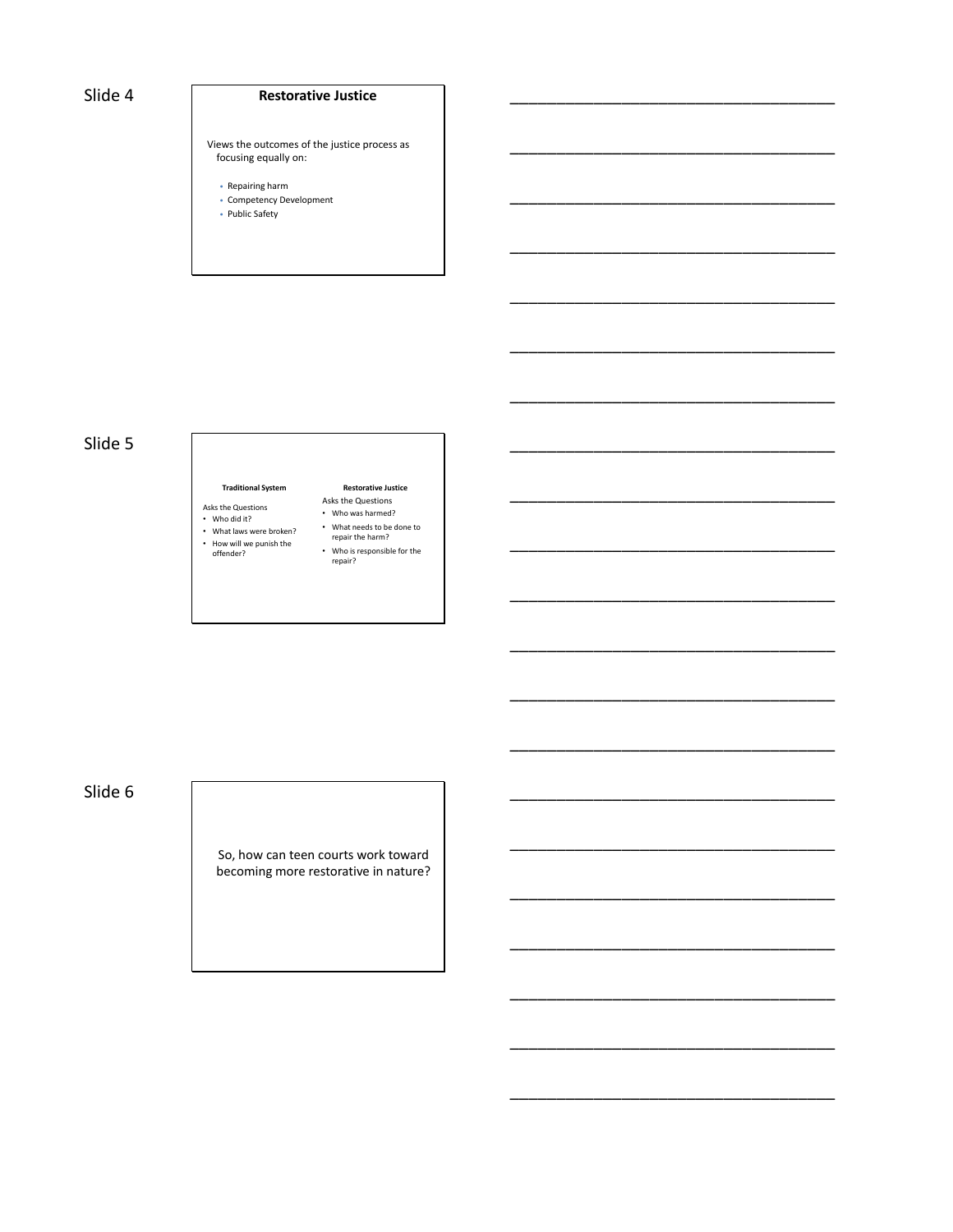## Slide 4 **Restorative Justice**

\_\_\_\_\_\_\_\_\_\_\_\_\_\_\_\_\_\_\_\_\_\_\_\_\_\_\_\_\_\_\_\_\_\_\_

\_\_\_\_\_\_\_\_\_\_\_\_\_\_\_\_\_\_\_\_\_\_\_\_\_\_\_\_\_\_\_\_\_\_\_

\_\_\_\_\_\_\_\_\_\_\_\_\_\_\_\_\_\_\_\_\_\_\_\_\_\_\_\_\_\_\_\_\_\_\_

\_\_\_\_\_\_\_\_\_\_\_\_\_\_\_\_\_\_\_\_\_\_\_\_\_\_\_\_\_\_\_\_\_\_\_

\_\_\_\_\_\_\_\_\_\_\_\_\_\_\_\_\_\_\_\_\_\_\_\_\_\_\_\_\_\_\_\_\_\_\_

\_\_\_\_\_\_\_\_\_\_\_\_\_\_\_\_\_\_\_\_\_\_\_\_\_\_\_\_\_\_\_\_\_\_\_

\_\_\_\_\_\_\_\_\_\_\_\_\_\_\_\_\_\_\_\_\_\_\_\_\_\_\_\_\_\_\_\_\_\_\_

\_\_\_\_\_\_\_\_\_\_\_\_\_\_\_\_\_\_\_\_\_\_\_\_\_\_\_\_\_\_\_\_\_\_\_

\_\_\_\_\_\_\_\_\_\_\_\_\_\_\_\_\_\_\_\_\_\_\_\_\_\_\_\_\_\_\_\_\_\_\_

\_\_\_\_\_\_\_\_\_\_\_\_\_\_\_\_\_\_\_\_\_\_\_\_\_\_\_\_\_\_\_\_\_\_\_

\_\_\_\_\_\_\_\_\_\_\_\_\_\_\_\_\_\_\_\_\_\_\_\_\_\_\_\_\_\_\_\_\_\_\_

\_\_\_\_\_\_\_\_\_\_\_\_\_\_\_\_\_\_\_\_\_\_\_\_\_\_\_\_\_\_\_\_\_\_\_

\_\_\_\_\_\_\_\_\_\_\_\_\_\_\_\_\_\_\_\_\_\_\_\_\_\_\_\_\_\_\_\_\_\_\_

\_\_\_\_\_\_\_\_\_\_\_\_\_\_\_\_\_\_\_\_\_\_\_\_\_\_\_\_\_\_\_\_\_\_\_

\_\_\_\_\_\_\_\_\_\_\_\_\_\_\_\_\_\_\_\_\_\_\_\_\_\_\_\_\_\_\_\_\_\_\_

\_\_\_\_\_\_\_\_\_\_\_\_\_\_\_\_\_\_\_\_\_\_\_\_\_\_\_\_\_\_\_\_\_\_\_

\_\_\_\_\_\_\_\_\_\_\_\_\_\_\_\_\_\_\_\_\_\_\_\_\_\_\_\_\_\_\_\_\_\_\_

\_\_\_\_\_\_\_\_\_\_\_\_\_\_\_\_\_\_\_\_\_\_\_\_\_\_\_\_\_\_\_\_\_\_\_

\_\_\_\_\_\_\_\_\_\_\_\_\_\_\_\_\_\_\_\_\_\_\_\_\_\_\_\_\_\_\_\_\_\_\_

\_\_\_\_\_\_\_\_\_\_\_\_\_\_\_\_\_\_\_\_\_\_\_\_\_\_\_\_\_\_\_\_\_\_\_

\_\_\_\_\_\_\_\_\_\_\_\_\_\_\_\_\_\_\_\_\_\_\_\_\_\_\_\_\_\_\_\_\_\_\_

Views the outcomes of the justice process as focusing equally on:

- Repairing harm
- Competency Development
- Public Safety

## Slide 5

### **Traditional System**

### Asks the Questions

- Who did it?
- What laws were broken?
- How will we punish the offender?
- Who was harmed? • What needs to be done to repair the harm?

**Restorative Justice** Asks the Questions

- Who is responsible for the
- repair?

## Slide 6

So, how can teen courts work toward becoming more restorative in nature?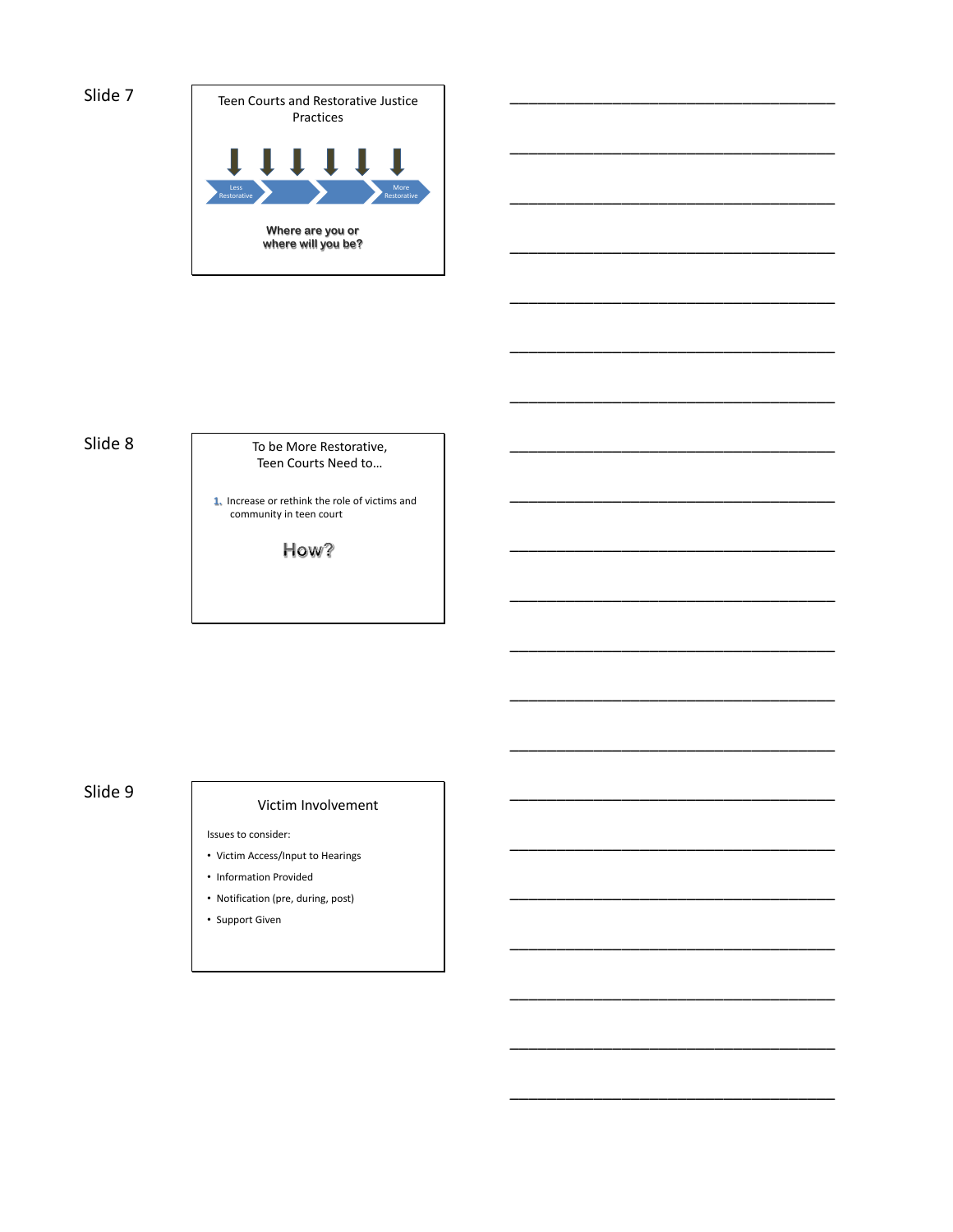

\_\_\_\_\_\_\_\_\_\_\_\_\_\_\_\_\_\_\_\_\_\_\_\_\_\_\_\_\_\_\_\_\_\_\_

\_\_\_\_\_\_\_\_\_\_\_\_\_\_\_\_\_\_\_\_\_\_\_\_\_\_\_\_\_\_\_\_\_\_\_

\_\_\_\_\_\_\_\_\_\_\_\_\_\_\_\_\_\_\_\_\_\_\_\_\_\_\_\_\_\_\_\_\_\_\_

\_\_\_\_\_\_\_\_\_\_\_\_\_\_\_\_\_\_\_\_\_\_\_\_\_\_\_\_\_\_\_\_\_\_\_

\_\_\_\_\_\_\_\_\_\_\_\_\_\_\_\_\_\_\_\_\_\_\_\_\_\_\_\_\_\_\_\_\_\_\_

\_\_\_\_\_\_\_\_\_\_\_\_\_\_\_\_\_\_\_\_\_\_\_\_\_\_\_\_\_\_\_\_\_\_\_

\_\_\_\_\_\_\_\_\_\_\_\_\_\_\_\_\_\_\_\_\_\_\_\_\_\_\_\_\_\_\_\_\_\_\_

\_\_\_\_\_\_\_\_\_\_\_\_\_\_\_\_\_\_\_\_\_\_\_\_\_\_\_\_\_\_\_\_\_\_\_

\_\_\_\_\_\_\_\_\_\_\_\_\_\_\_\_\_\_\_\_\_\_\_\_\_\_\_\_\_\_\_\_\_\_\_

\_\_\_\_\_\_\_\_\_\_\_\_\_\_\_\_\_\_\_\_\_\_\_\_\_\_\_\_\_\_\_\_\_\_\_

\_\_\_\_\_\_\_\_\_\_\_\_\_\_\_\_\_\_\_\_\_\_\_\_\_\_\_\_\_\_\_\_\_\_\_

\_\_\_\_\_\_\_\_\_\_\_\_\_\_\_\_\_\_\_\_\_\_\_\_\_\_\_\_\_\_\_\_\_\_\_

\_\_\_\_\_\_\_\_\_\_\_\_\_\_\_\_\_\_\_\_\_\_\_\_\_\_\_\_\_\_\_\_\_\_\_

\_\_\_\_\_\_\_\_\_\_\_\_\_\_\_\_\_\_\_\_\_\_\_\_\_\_\_\_\_\_\_\_\_\_\_

\_\_\_\_\_\_\_\_\_\_\_\_\_\_\_\_\_\_\_\_\_\_\_\_\_\_\_\_\_\_\_\_\_\_\_

\_\_\_\_\_\_\_\_\_\_\_\_\_\_\_\_\_\_\_\_\_\_\_\_\_\_\_\_\_\_\_\_\_\_\_

\_\_\_\_\_\_\_\_\_\_\_\_\_\_\_\_\_\_\_\_\_\_\_\_\_\_\_\_\_\_\_\_\_\_\_

\_\_\_\_\_\_\_\_\_\_\_\_\_\_\_\_\_\_\_\_\_\_\_\_\_\_\_\_\_\_\_\_\_\_\_

\_\_\_\_\_\_\_\_\_\_\_\_\_\_\_\_\_\_\_\_\_\_\_\_\_\_\_\_\_\_\_\_\_\_\_

\_\_\_\_\_\_\_\_\_\_\_\_\_\_\_\_\_\_\_\_\_\_\_\_\_\_\_\_\_\_\_\_\_\_\_

\_\_\_\_\_\_\_\_\_\_\_\_\_\_\_\_\_\_\_\_\_\_\_\_\_\_\_\_\_\_\_\_\_\_\_

Slide 8 To be More Restorative, Teen Courts Need to…

> **1.** Increase or rethink the role of victims and community in teen court

> > How?

# Slide 9 Victim Involvement

Issues to consider:

- Victim Access/Input to Hearings
- Information Provided
- Notification (pre, during, post)
- Support Given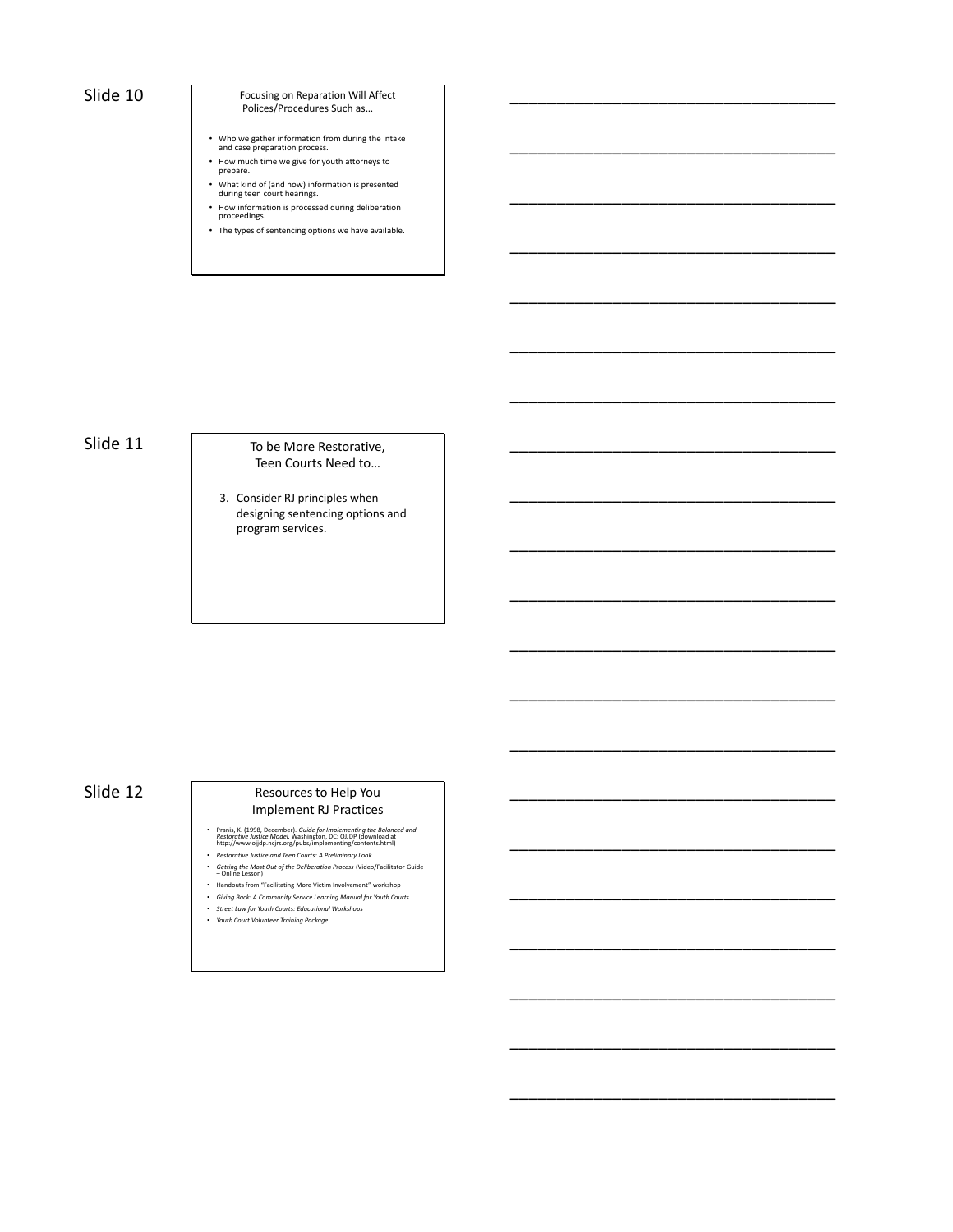Slide 10 Focusing on Reparation Will Affect Polices/Procedures Such as…

\_\_\_\_\_\_\_\_\_\_\_\_\_\_\_\_\_\_\_\_\_\_\_\_\_\_\_\_\_\_\_\_\_\_\_

\_\_\_\_\_\_\_\_\_\_\_\_\_\_\_\_\_\_\_\_\_\_\_\_\_\_\_\_\_\_\_\_\_\_\_

\_\_\_\_\_\_\_\_\_\_\_\_\_\_\_\_\_\_\_\_\_\_\_\_\_\_\_\_\_\_\_\_\_\_\_

\_\_\_\_\_\_\_\_\_\_\_\_\_\_\_\_\_\_\_\_\_\_\_\_\_\_\_\_\_\_\_\_\_\_\_

\_\_\_\_\_\_\_\_\_\_\_\_\_\_\_\_\_\_\_\_\_\_\_\_\_\_\_\_\_\_\_\_\_\_\_

\_\_\_\_\_\_\_\_\_\_\_\_\_\_\_\_\_\_\_\_\_\_\_\_\_\_\_\_\_\_\_\_\_\_\_

\_\_\_\_\_\_\_\_\_\_\_\_\_\_\_\_\_\_\_\_\_\_\_\_\_\_\_\_\_\_\_\_\_\_\_

\_\_\_\_\_\_\_\_\_\_\_\_\_\_\_\_\_\_\_\_\_\_\_\_\_\_\_\_\_\_\_\_\_\_\_

\_\_\_\_\_\_\_\_\_\_\_\_\_\_\_\_\_\_\_\_\_\_\_\_\_\_\_\_\_\_\_\_\_\_\_

\_\_\_\_\_\_\_\_\_\_\_\_\_\_\_\_\_\_\_\_\_\_\_\_\_\_\_\_\_\_\_\_\_\_\_

\_\_\_\_\_\_\_\_\_\_\_\_\_\_\_\_\_\_\_\_\_\_\_\_\_\_\_\_\_\_\_\_\_\_\_

\_\_\_\_\_\_\_\_\_\_\_\_\_\_\_\_\_\_\_\_\_\_\_\_\_\_\_\_\_\_\_\_\_\_\_

\_\_\_\_\_\_\_\_\_\_\_\_\_\_\_\_\_\_\_\_\_\_\_\_\_\_\_\_\_\_\_\_\_\_\_

\_\_\_\_\_\_\_\_\_\_\_\_\_\_\_\_\_\_\_\_\_\_\_\_\_\_\_\_\_\_\_\_\_\_\_

\_\_\_\_\_\_\_\_\_\_\_\_\_\_\_\_\_\_\_\_\_\_\_\_\_\_\_\_\_\_\_\_\_\_\_

\_\_\_\_\_\_\_\_\_\_\_\_\_\_\_\_\_\_\_\_\_\_\_\_\_\_\_\_\_\_\_\_\_\_\_

\_\_\_\_\_\_\_\_\_\_\_\_\_\_\_\_\_\_\_\_\_\_\_\_\_\_\_\_\_\_\_\_\_\_\_

\_\_\_\_\_\_\_\_\_\_\_\_\_\_\_\_\_\_\_\_\_\_\_\_\_\_\_\_\_\_\_\_\_\_\_

\_\_\_\_\_\_\_\_\_\_\_\_\_\_\_\_\_\_\_\_\_\_\_\_\_\_\_\_\_\_\_\_\_\_\_

\_\_\_\_\_\_\_\_\_\_\_\_\_\_\_\_\_\_\_\_\_\_\_\_\_\_\_\_\_\_\_\_\_\_\_

\_\_\_\_\_\_\_\_\_\_\_\_\_\_\_\_\_\_\_\_\_\_\_\_\_\_\_\_\_\_\_\_\_\_\_

- Who we gather information from during the intake and case preparation process.
- How much time we give for youth attorneys to prepare.
- What kind of (and how) information is presented during teen court hearings.
- How information is processed during deliberation proceedings.
- The types of sentencing options we have available.

Slide 11 To be More Restorative, Teen Courts Need to…

> 3. Consider RJ principles when designing sentencing options and program services.

## Slide 12

### Resources to Help You Implement RJ Practices

- Pranis, K. (1998, December). *Guide for Implementing the Balanced and*<br>Restorative Justice Model. Washington, DC: OJIDP (download at<br>http://www.ojjdp.ncjrs.org/pubs/implementing/contents.html)<br>• Restorative Justice and T
- 
- *Getting the Most Out of the Deliberation Process* (Video/Facilitator Guide Online Lesson)
- Handouts from "Facilitating More Victim Involvement" workshop
- *Giving Back: A Community Service Learning Manual for Youth Courts* • *Street Law for Youth Courts: Educational Workshops*
- *Youth Court Volunteer Training Package*